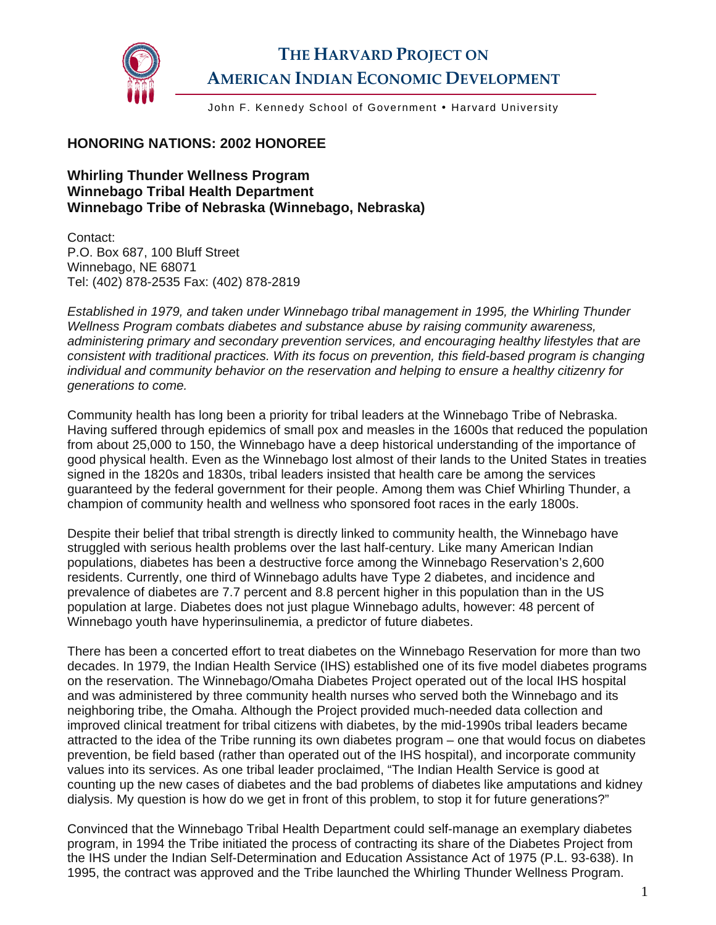

## **THE HARVARD PROJECT ON AMERICAN INDIAN ECONOMIC DEVELOPMENT**

John F. Kennedy School of Government • Harvard University

## **HONORING NATIONS: 2002 HONOREE**

**Whirling Thunder Wellness Program Winnebago Tribal Health Department Winnebago Tribe of Nebraska (Winnebago, Nebraska)** 

Contact: P.O. Box 687, 100 Bluff Street Winnebago, NE 68071 Tel: (402) 878-2535 Fax: (402) 878-2819

*Established in 1979, and taken under Winnebago tribal management in 1995, the Whirling Thunder Wellness Program combats diabetes and substance abuse by raising community awareness, administering primary and secondary prevention services, and encouraging healthy lifestyles that are consistent with traditional practices. With its focus on prevention, this field-based program is changing individual and community behavior on the reservation and helping to ensure a healthy citizenry for generations to come.* 

Community health has long been a priority for tribal leaders at the Winnebago Tribe of Nebraska. Having suffered through epidemics of small pox and measles in the 1600s that reduced the population from about 25,000 to 150, the Winnebago have a deep historical understanding of the importance of good physical health. Even as the Winnebago lost almost of their lands to the United States in treaties signed in the 1820s and 1830s, tribal leaders insisted that health care be among the services guaranteed by the federal government for their people. Among them was Chief Whirling Thunder, a champion of community health and wellness who sponsored foot races in the early 1800s.

Despite their belief that tribal strength is directly linked to community health, the Winnebago have struggled with serious health problems over the last half-century. Like many American Indian populations, diabetes has been a destructive force among the Winnebago Reservation's 2,600 residents. Currently, one third of Winnebago adults have Type 2 diabetes, and incidence and prevalence of diabetes are 7.7 percent and 8.8 percent higher in this population than in the US population at large. Diabetes does not just plague Winnebago adults, however: 48 percent of Winnebago youth have hyperinsulinemia, a predictor of future diabetes.

There has been a concerted effort to treat diabetes on the Winnebago Reservation for more than two decades. In 1979, the Indian Health Service (IHS) established one of its five model diabetes programs on the reservation. The Winnebago/Omaha Diabetes Project operated out of the local IHS hospital and was administered by three community health nurses who served both the Winnebago and its neighboring tribe, the Omaha. Although the Project provided much-needed data collection and improved clinical treatment for tribal citizens with diabetes, by the mid-1990s tribal leaders became attracted to the idea of the Tribe running its own diabetes program – one that would focus on diabetes prevention, be field based (rather than operated out of the IHS hospital), and incorporate community values into its services. As one tribal leader proclaimed, "The Indian Health Service is good at counting up the new cases of diabetes and the bad problems of diabetes like amputations and kidney dialysis. My question is how do we get in front of this problem, to stop it for future generations?"

Convinced that the Winnebago Tribal Health Department could self-manage an exemplary diabetes program, in 1994 the Tribe initiated the process of contracting its share of the Diabetes Project from the IHS under the Indian Self-Determination and Education Assistance Act of 1975 (P.L. 93-638). In 1995, the contract was approved and the Tribe launched the Whirling Thunder Wellness Program.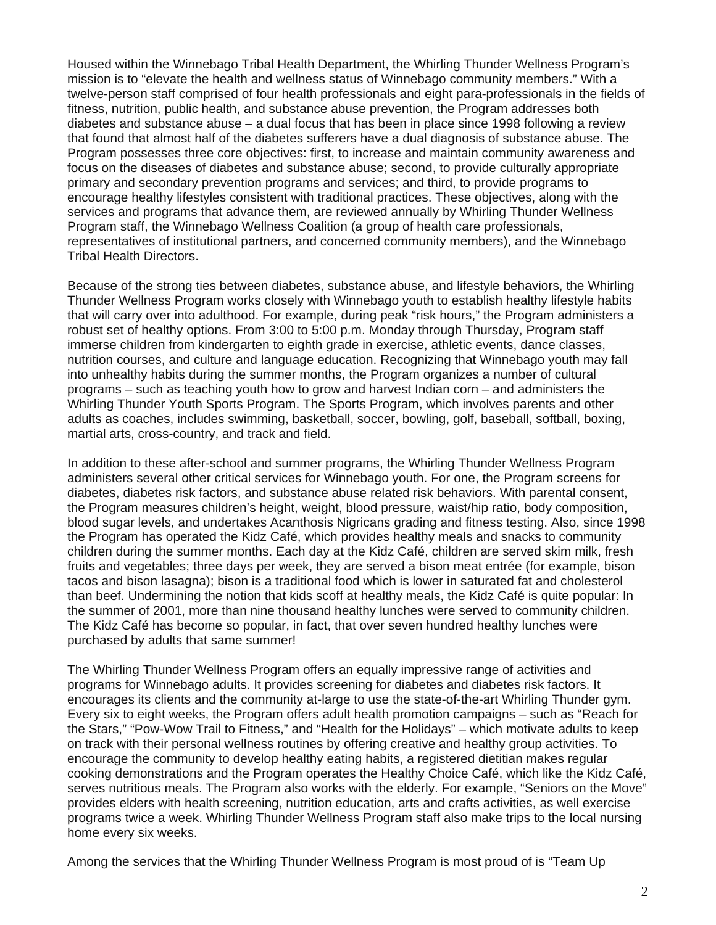Housed within the Winnebago Tribal Health Department, the Whirling Thunder Wellness Program's mission is to "elevate the health and wellness status of Winnebago community members." With a twelve-person staff comprised of four health professionals and eight para-professionals in the fields of fitness, nutrition, public health, and substance abuse prevention, the Program addresses both diabetes and substance abuse – a dual focus that has been in place since 1998 following a review that found that almost half of the diabetes sufferers have a dual diagnosis of substance abuse. The Program possesses three core objectives: first, to increase and maintain community awareness and focus on the diseases of diabetes and substance abuse; second, to provide culturally appropriate primary and secondary prevention programs and services; and third, to provide programs to encourage healthy lifestyles consistent with traditional practices. These objectives, along with the services and programs that advance them, are reviewed annually by Whirling Thunder Wellness Program staff, the Winnebago Wellness Coalition (a group of health care professionals, representatives of institutional partners, and concerned community members), and the Winnebago Tribal Health Directors.

Because of the strong ties between diabetes, substance abuse, and lifestyle behaviors, the Whirling Thunder Wellness Program works closely with Winnebago youth to establish healthy lifestyle habits that will carry over into adulthood. For example, during peak "risk hours," the Program administers a robust set of healthy options. From 3:00 to 5:00 p.m. Monday through Thursday, Program staff immerse children from kindergarten to eighth grade in exercise, athletic events, dance classes, nutrition courses, and culture and language education. Recognizing that Winnebago youth may fall into unhealthy habits during the summer months, the Program organizes a number of cultural programs – such as teaching youth how to grow and harvest Indian corn – and administers the Whirling Thunder Youth Sports Program. The Sports Program, which involves parents and other adults as coaches, includes swimming, basketball, soccer, bowling, golf, baseball, softball, boxing, martial arts, cross-country, and track and field.

In addition to these after-school and summer programs, the Whirling Thunder Wellness Program administers several other critical services for Winnebago youth. For one, the Program screens for diabetes, diabetes risk factors, and substance abuse related risk behaviors. With parental consent, the Program measures children's height, weight, blood pressure, waist/hip ratio, body composition, blood sugar levels, and undertakes Acanthosis Nigricans grading and fitness testing. Also, since 1998 the Program has operated the Kidz Café, which provides healthy meals and snacks to community children during the summer months. Each day at the Kidz Café, children are served skim milk, fresh fruits and vegetables; three days per week, they are served a bison meat entrée (for example, bison tacos and bison lasagna); bison is a traditional food which is lower in saturated fat and cholesterol than beef. Undermining the notion that kids scoff at healthy meals, the Kidz Café is quite popular: In the summer of 2001, more than nine thousand healthy lunches were served to community children. The Kidz Café has become so popular, in fact, that over seven hundred healthy lunches were purchased by adults that same summer!

The Whirling Thunder Wellness Program offers an equally impressive range of activities and programs for Winnebago adults. It provides screening for diabetes and diabetes risk factors. It encourages its clients and the community at-large to use the state-of-the-art Whirling Thunder gym. Every six to eight weeks, the Program offers adult health promotion campaigns – such as "Reach for the Stars," "Pow-Wow Trail to Fitness," and "Health for the Holidays" – which motivate adults to keep on track with their personal wellness routines by offering creative and healthy group activities. To encourage the community to develop healthy eating habits, a registered dietitian makes regular cooking demonstrations and the Program operates the Healthy Choice Café, which like the Kidz Café, serves nutritious meals. The Program also works with the elderly. For example, "Seniors on the Move" provides elders with health screening, nutrition education, arts and crafts activities, as well exercise programs twice a week. Whirling Thunder Wellness Program staff also make trips to the local nursing home every six weeks.

Among the services that the Whirling Thunder Wellness Program is most proud of is "Team Up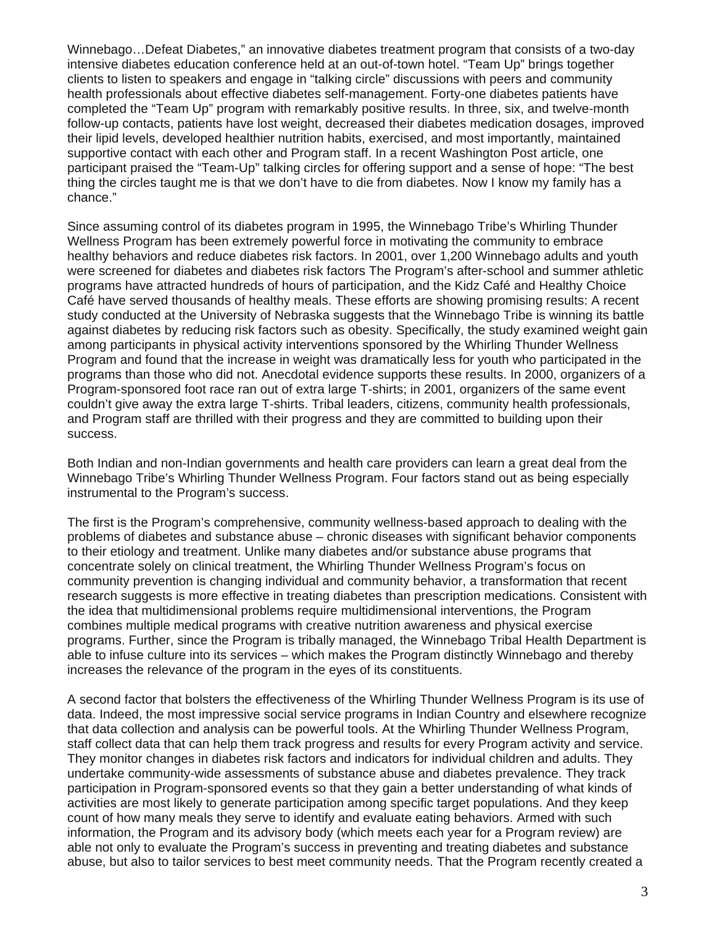Winnebago…Defeat Diabetes," an innovative diabetes treatment program that consists of a two-day intensive diabetes education conference held at an out-of-town hotel. "Team Up" brings together clients to listen to speakers and engage in "talking circle" discussions with peers and community health professionals about effective diabetes self-management. Forty-one diabetes patients have completed the "Team Up" program with remarkably positive results. In three, six, and twelve-month follow-up contacts, patients have lost weight, decreased their diabetes medication dosages, improved their lipid levels, developed healthier nutrition habits, exercised, and most importantly, maintained supportive contact with each other and Program staff. In a recent Washington Post article, one participant praised the "Team-Up" talking circles for offering support and a sense of hope: "The best thing the circles taught me is that we don't have to die from diabetes. Now I know my family has a chance."

Since assuming control of its diabetes program in 1995, the Winnebago Tribe's Whirling Thunder Wellness Program has been extremely powerful force in motivating the community to embrace healthy behaviors and reduce diabetes risk factors. In 2001, over 1,200 Winnebago adults and youth were screened for diabetes and diabetes risk factors The Program's after-school and summer athletic programs have attracted hundreds of hours of participation, and the Kidz Café and Healthy Choice Café have served thousands of healthy meals. These efforts are showing promising results: A recent study conducted at the University of Nebraska suggests that the Winnebago Tribe is winning its battle against diabetes by reducing risk factors such as obesity. Specifically, the study examined weight gain among participants in physical activity interventions sponsored by the Whirling Thunder Wellness Program and found that the increase in weight was dramatically less for youth who participated in the programs than those who did not. Anecdotal evidence supports these results. In 2000, organizers of a Program-sponsored foot race ran out of extra large T-shirts; in 2001, organizers of the same event couldn't give away the extra large T-shirts. Tribal leaders, citizens, community health professionals, and Program staff are thrilled with their progress and they are committed to building upon their success.

Both Indian and non-Indian governments and health care providers can learn a great deal from the Winnebago Tribe's Whirling Thunder Wellness Program. Four factors stand out as being especially instrumental to the Program's success.

The first is the Program's comprehensive, community wellness-based approach to dealing with the problems of diabetes and substance abuse – chronic diseases with significant behavior components to their etiology and treatment. Unlike many diabetes and/or substance abuse programs that concentrate solely on clinical treatment, the Whirling Thunder Wellness Program's focus on community prevention is changing individual and community behavior, a transformation that recent research suggests is more effective in treating diabetes than prescription medications. Consistent with the idea that multidimensional problems require multidimensional interventions, the Program combines multiple medical programs with creative nutrition awareness and physical exercise programs. Further, since the Program is tribally managed, the Winnebago Tribal Health Department is able to infuse culture into its services – which makes the Program distinctly Winnebago and thereby increases the relevance of the program in the eyes of its constituents.

A second factor that bolsters the effectiveness of the Whirling Thunder Wellness Program is its use of data. Indeed, the most impressive social service programs in Indian Country and elsewhere recognize that data collection and analysis can be powerful tools. At the Whirling Thunder Wellness Program, staff collect data that can help them track progress and results for every Program activity and service. They monitor changes in diabetes risk factors and indicators for individual children and adults. They undertake community-wide assessments of substance abuse and diabetes prevalence. They track participation in Program-sponsored events so that they gain a better understanding of what kinds of activities are most likely to generate participation among specific target populations. And they keep count of how many meals they serve to identify and evaluate eating behaviors. Armed with such information, the Program and its advisory body (which meets each year for a Program review) are able not only to evaluate the Program's success in preventing and treating diabetes and substance abuse, but also to tailor services to best meet community needs. That the Program recently created a